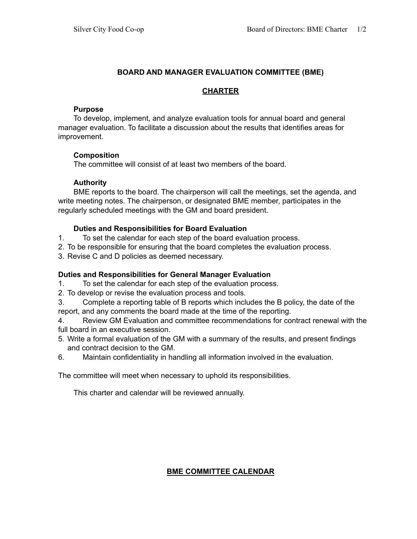## **BOARD AND MANAGER EVALUATION COMMITTEE (BME)**

## **CHARTER**

## **Purpose**

To develop, implement, and analyze evaluation tools for annual board and general manager evaluation. To facilitate a discussion about the results that identifies areas for improvement.

## **Composition**

The committee will consist of at least two members of the board.

# **Authority**

BME reports to the board. The chairperson will call the meetings, set the agenda, and write meeting notes. The chairperson, or designated BME member, participates in the regularly scheduled meetings with the GM and board president.

## **Duties and Responsibilities for Board Evaluation**

- 1. To set the calendar for each step of the board evaluation process.
- 2. To be responsible for ensuring that the board completes the evaluation process.
- 3. Revise C and D policies as deemed necessary.

# **Duties and Responsibilities for General Manager Evaluation**

- 1. To set the calendar for each step of the evaluation process.
- 2. To develop or revise the evaluation process and tools.
- 3. Complete a reporting table of B reports which includes the B policy, the date of the report, and any comments the board made at the time of the reporting.

4. Review GM Evaluation and committee recommendations for contract renewal with the full board in an executive session.

- 5. Write a formal evaluation of the GM with a summary of the results, and present findings and contract decision to the GM.
- 6. Maintain confidentiality in handling all information involved in the evaluation.

The committee will meet when necessary to uphold its responsibilities.

This charter and calendar will be reviewed annually.

# **BME COMMITTEE CALENDAR**